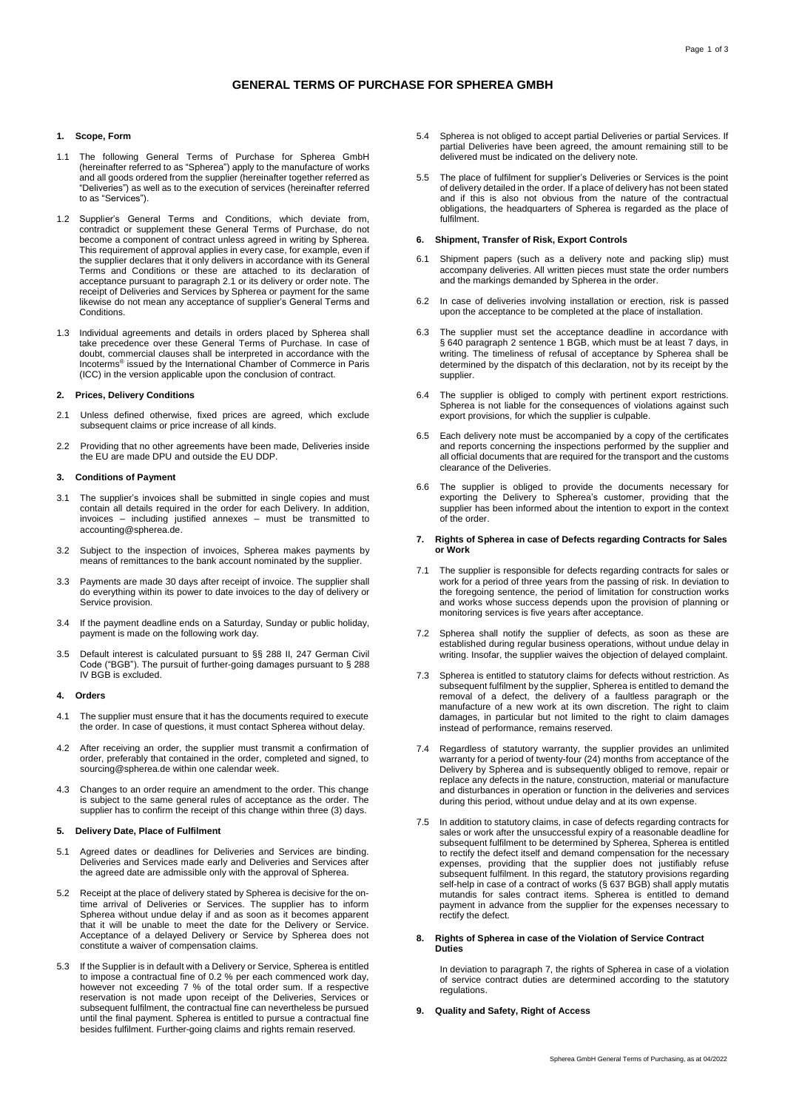# **GENERAL TERMS OF PURCHASE FOR SPHEREA GMBH**

# **1. Scope, Form**

- 1.1 The following General Terms of Purchase for Spherea GmbH (hereinafter referred to as "Spherea") apply to the manufacture of works and all goods ordered from the supplier (hereinafter together referred as "Deliveries") as well as to the execution of services (hereinafter referred to as "Services").
- 1.2 Supplier's General Terms and Conditions, which deviate from, contradict or supplement these General Terms of Purchase, do not become a component of contract unless agreed in writing by Spherea. This requirement of approval applies in every case, for example, even if the supplier declares that it only delivers in accordance with its General Terms and Conditions or these are attached to its declaration of acceptance pursuant to paragraph 2.1 or its delivery or order note. The receipt of Deliveries and Services by Spherea or payment for the same likewise do not mean any acceptance of supplier's General Terms and **Conditions**
- 1.3 Individual agreements and details in orders placed by Spherea shall take precedence over these General Terms of Purchase. In case of doubt, commercial clauses shall be interpreted in accordance with the Incoterms® issued by the International Chamber of Commerce in Paris (ICC) in the version applicable upon the conclusion of contract.

### **2. Prices, Delivery Conditions**

- 2.1 Unless defined otherwise, fixed prices are agreed, which exclude subsequent claims or price increase of all kinds.
- 2.2 Providing that no other agreements have been made, Deliveries inside the EU are made DPU and outside the EU DDP.

### **3. Conditions of Payment**

- 3.1 The supplier's invoices shall be submitted in single copies and must contain all details required in the order for each Delivery. In addition, invoices – including justified annexes – must be transmitted to accounting@spherea.de.
- 3.2 Subject to the inspection of invoices, Spherea makes payments by means of remittances to the bank account nominated by the supplier.
- 3.3 Payments are made 30 days after receipt of invoice. The supplier shall do everything within its power to date invoices to the day of delivery or Service provision.
- 3.4 If the payment deadline ends on a Saturday, Sunday or public holiday, payment is made on the following work day.
- 3.5 Default interest is calculated pursuant to §§ 288 II, 247 German Civil Code ("BGB"). The pursuit of further-going damages pursuant to § 288 IV BGB is excluded.

## **4. Orders**

- 4.1 The supplier must ensure that it has the documents required to execute the order. In case of questions, it must contact Spherea without delay.
- 4.2 After receiving an order, the supplier must transmit a confirmation of order, preferably that contained in the order, completed and signed, to sourcing@spherea.de within one calendar week.
- 4.3 Changes to an order require an amendment to the order. This change is subject to the same general rules of acceptance as the order. The supplier has to confirm the receipt of this change within three (3) days.

#### **5. Delivery Date, Place of Fulfilment**

- 5.1 Agreed dates or deadlines for Deliveries and Services are binding. Deliveries and Services made early and Deliveries and Services after the agreed date are admissible only with the approval of Spherea.
- 5.2 Receipt at the place of delivery stated by Spherea is decisive for the ontime arrival of Deliveries or Services. The supplier has to inform Spherea without undue delay if and as soon as it becomes apparent that it will be unable to meet the date for the Delivery or Service. Acceptance of a delayed Delivery or Service by Spherea does not constitute a waiver of compensation claims.
- 5.3 If the Supplier is in default with a Delivery or Service, Spherea is entitled to impose a contractual fine of 0.2 % per each commenced work day, however not exceeding 7 % of the total order sum. If a respective reservation is not made upon receipt of the Deliveries, Services or<br>subsequent fulfilment, the contractual fine can nevertheless be pursued<br>until the final payment. Spherea is entitled to pursue a contractual fine<br>besides
- 5.4 Spherea is not obliged to accept partial Deliveries or partial Services. If partial Deliveries have been agreed, the amount remaining still to be delivered must be indicated on the delivery note.
- 5.5 The place of fulfilment for supplier's Deliveries or Services is the point of delivery detailed in the order. If a place of delivery has not been stated and if this is also not obvious from the nature of the contractual obligations, the headquarters of Spherea is regarded as the place of fulfilment.

## **6. Shipment, Transfer of Risk, Export Controls**

- 6.1 Shipment papers (such as a delivery note and packing slip) must accompany deliveries. All written pieces must state the order numbers and the markings demanded by Spherea in the order.
- 6.2 In case of deliveries involving installation or erection, risk is passed upon the acceptance to be completed at the place of installation.
- 6.3 The supplier must set the acceptance deadline in accordance with § 640 paragraph 2 sentence 1 BGB, which must be at least 7 days, in writing. The timeliness of refusal of acceptance by Spherea shall be determined by the dispatch of this declaration, not by its receipt by the supplier.
- 6.4 The supplier is obliged to comply with pertinent export restrictions. Spherea is not liable for the consequences of violations against such export provisions, for which the supplier is culpable.
- 6.5 Each delivery note must be accompanied by a copy of the certificates and reports concerning the inspections performed by the supplier and all official documents that are required for the transport and the customs clearance of the Deliveries.
- 6.6 The supplier is obliged to provide the documents necessary for exporting the Delivery to Spherea's customer, providing that the supplier has been informed about the intention to export in the context of the order.

### **7. Rights of Spherea in case of Defects regarding Contracts for Sales or Work**

- 7.1 The supplier is responsible for defects regarding contracts for sales or work for a period of three years from the passing of risk. In deviation to the foregoing sentence, the period of limitation for construction works and works whose success depends upon the provision of planning or monitoring services is five years after acceptance.
- 7.2 Spherea shall notify the supplier of defects, as soon as these are established during regular business operations, without undue delay in writing. Insofar, the supplier waives the objection of delayed complaint.
- 7.3 Spherea is entitled to statutory claims for defects without restriction. As subsequent fulfilment by the supplier, Spherea is entitled to demand the removal of a defect, the delivery of a faultless paragraph or the manufacture of a new work at its own discretion. The right to claim damages, in particular but not limited to the right to claim damages instead of performance, remains reserved.
- 7.4 Regardless of statutory warranty, the supplier provides an unlimited warranty for a period of twenty-four (24) months from acceptance of the Delivery by Spherea and is subsequently obliged to remove, repair or replace any defects in the nature, construction, material or manufacture and disturbances in operation or function in the deliveries and services during this period, without undue delay and at its own expense.
- 7.5 In addition to statutory claims, in case of defects regarding contracts for sales or work after the unsuccessful expiry of a reasonable deadline for subsequent fulfilment to be determined by Spherea, Spherea is entitled to rectify the defect itself and demand compensation for the necessary expenses, providing that the supplier does not justifiably refuse subsequent fulfilment. In this regard, the statutory provisions regarding self-help in case of a contract of works (§ 637 BGB) shall apply mutatis mutandis for sales contract items. Spherea is entitled to demand payment in advance from the supplier for the expenses necessary to rectify the defect.
- **8. Rights of Spherea in case of the Violation of Service Contract Duties**

In deviation to paragraph 7, the rights of Spherea in case of a violation of service contract duties are determined according to the statutory regulations.

### **9. Quality and Safety, Right of Access**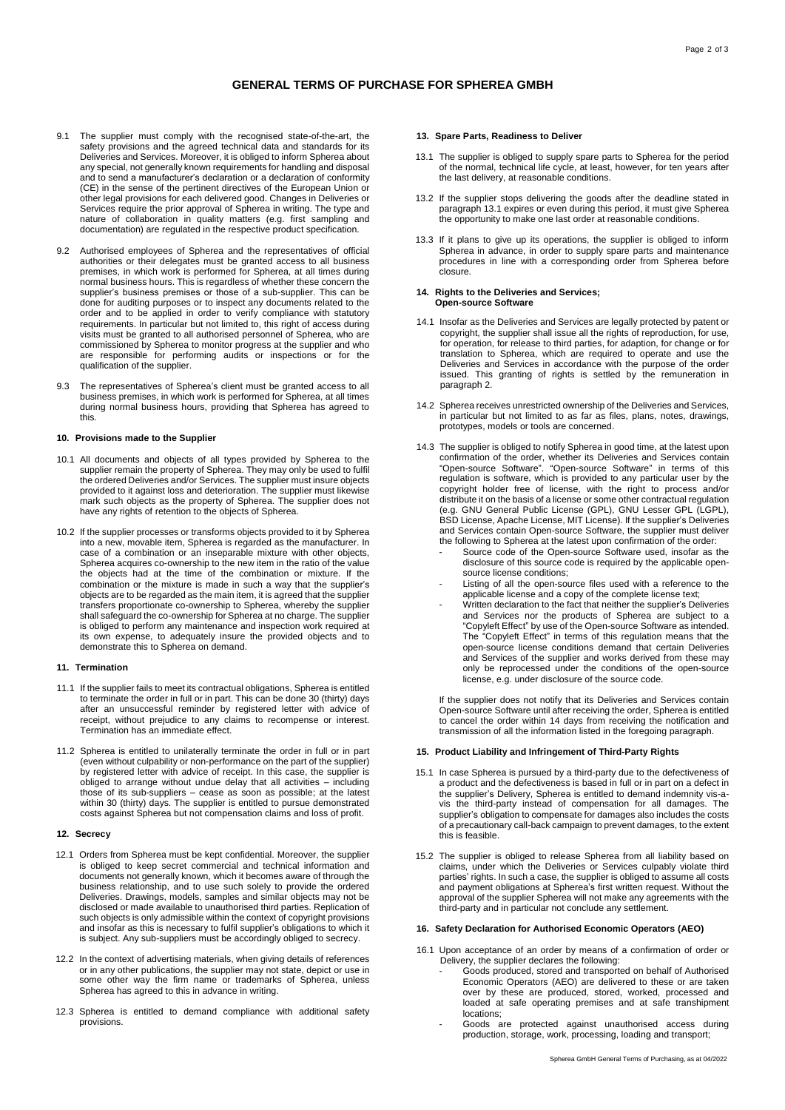# **GENERAL TERMS OF PURCHASE FOR SPHEREA GMBH**

- 9.1 The supplier must comply with the recognised state-of-the-art, the safety provisions and the agreed technical data and standards for its Deliveries and Services. Moreover, it is obliged to inform Spherea about any special, not generally known requirements for handling and disposal and to send a manufacturer's declaration or a declaration of conformity (CE) in the sense of the pertinent directives of the European Union or other legal provisions for each delivered good. Changes in Deliveries or Services require the prior approval of Spherea in writing. The type and nature of collaboration in quality matters (e.g. first sampling and documentation) are regulated in the respective product specification.
- 9.2 Authorised employees of Spherea and the representatives of official authorities or their delegates must be granted access to all business premises, in which work is performed for Spherea, at all times during normal business hours. This is regardless of whether these concern the supplier's business premises or those of a sub-supplier. This can be done for auditing purposes or to inspect any documents related to the order and to be applied in order to verify compliance with statutory requirements. In particular but not limited to, this right of access during visits must be granted to all authorised personnel of Spherea, who are commissioned by Spherea to monitor progress at the supplier and who are responsible for performing audits or inspections or for the qualification of the supplier.
- 9.3 The representatives of Spherea's client must be granted access to all business premises, in which work is performed for Spherea, at all times during normal business hours, providing that Spherea has agreed to this.

### **10. Provisions made to the Supplier**

- 10.1 All documents and objects of all types provided by Spherea to the supplier remain the property of Spherea. They may only be used to fulfil the ordered Deliveries and/or Services. The supplier must insure objects provided to it against loss and deterioration. The supplier must likewise mark such objects as the property of Spherea. The supplier does not have any rights of retention to the objects of Spherea.
- 10.2 If the supplier processes or transforms objects provided to it by Spherea into a new, movable item, Spherea is regarded as the manufacturer. In case of a combination or an inseparable mixture with other objects, Spherea acquires co-ownership to the new item in the ratio of the value the objects had at the time of the combination or mixture. If the combination or the mixture is made in such a way that the supplier's objects are to be regarded as the main item, it is agreed that the supplier transfers proportionate co-ownership to Spherea, whereby the supplier shall safeguard the co-ownership for Spherea at no charge. The supplier is obliged to perform any maintenance and inspection work required at its own expense, to adequately insure the provided objects and to demonstrate this to Spherea on demand.

### **11. Termination**

- 11.1 If the supplier fails to meet its contractual obligations, Spherea is entitled to terminate the order in full or in part. This can be done 30 (thirty) days after an unsuccessful reminder by registered letter with advice of receipt, without prejudice to any claims to recompense or interest. Termination has an immediate effect.
- 11.2 Spherea is entitled to unilaterally terminate the order in full or in part (even without culpability or non-performance on the part of the supplier) by registered letter with advice of receipt. In this case, the supplier is obliged to arrange without undue delay that all activities – including those of its sub-suppliers – cease as soon as possible; at the latest within 30 (thirty) days. The supplier is entitled to pursue demonstrated costs against Spherea but not compensation claims and loss of profit.

#### **12. Secrecy**

- 12.1 Orders from Spherea must be kept confidential. Moreover, the supplier is obliged to keep secret commercial and technical information and documents not generally known, which it becomes aware of through the business relationship, and to use such solely to provide the ordered Deliveries. Drawings, models, samples and similar objects may not be disclosed or made available to unauthorised third parties. Replication of such objects is only admissible within the context of copyright provisions and insofar as this is necessary to fulfil supplier's obligations to which it is subject. Any sub-suppliers must be accordingly obliged to secrecy.
- 12.2 In the context of advertising materials, when giving details of references or in any other publications, the supplier may not state, depict or use in some other way the firm name or trademarks of Spherea, unless Spherea has agreed to this in advance in writing.
- 12.3 Spherea is entitled to demand compliance with additional safety provisions.

# **13. Spare Parts, Readiness to Deliver**

- 13.1 The supplier is obliged to supply spare parts to Spherea for the period of the normal, technical life cycle, at least, however, for ten years after the last delivery, at reasonable conditions.
- 13.2 If the supplier stops delivering the goods after the deadline stated in paragraph 13.1 expires or even during this period, it must give Spherea the opportunity to make one last order at reasonable conditions.
- 13.3 If it plans to give up its operations, the supplier is obliged to inform Spherea in advance, in order to supply spare parts and maintenance procedures in line with a corresponding order from Spherea before closure.

### **14. Rights to the Deliveries and Services; Open-source Software**

- 14.1 Insofar as the Deliveries and Services are legally protected by patent or copyright, the supplier shall issue all the rights of reproduction, for use, for operation, for release to third parties, for adaption, for change or for translation to Spherea, which are required to operate and use the Deliveries and Services in accordance with the purpose of the order issued. This granting of rights is settled by the remuneration in paragraph 2.
- 14.2 Spherea receives unrestricted ownership of the Deliveries and Services, in particular but not limited to as far as files, plans, notes, drawings, prototypes, models or tools are concerned.
- 14.3 The supplier is obliged to notify Spherea in good time, at the latest upon confirmation of the order, whether its Deliveries and Services contain "Open-source Software". "Open-source Software" in terms of this regulation is software, which is provided to any particular user by the copyright holder free of license, with the right to process and/or distribute it on the basis of a license or some other contractual regulation (e.g. GNU General Public License (GPL), GNU Lesser GPL (LGPL), BSD License, Apache License, MIT License). If the supplier's Deliveries and Services contain Open-source Software, the supplier must deliver the following to Spherea at the latest upon confirmation of the order:
	- Source code of the Open-source Software used, insofar as the disclosure of this source code is required by the applicable opensource license conditions;
	- Listing of all the open-source files used with a reference to the applicable license and a copy of the complete license text;
	- Written declaration to the fact that neither the supplier's Deliveries and Services nor the products of Spherea are subject to a "Copyleft Effect" by use of the Open-source Software as intended. The "Copyleft Effect" in terms of this regulation means that the open-source license conditions demand that certain Deliveries and Services of the supplier and works derived from these may only be reprocessed under the conditions of the open-source license, e.g. under disclosure of the source code.

If the supplier does not notify that its Deliveries and Services contain Open-source Software until after receiving the order, Spherea is entitled to cancel the order within 14 days from receiving the notification and transmission of all the information listed in the foregoing paragraph.

# **15. Product Liability and Infringement of Third-Party Rights**

- 15.1 In case Spherea is pursued by a third-party due to the defectiveness of a product and the defectiveness is based in full or in part on a defect in<br>the supplier's Delivery, Spherea is entitled to demand indemnity vis-<br>tis the third-party instead of compensation for all damages. The<br>supplier's o of a precautionary call-back campaign to prevent damages, to the extent this is feasible.
- 15.2 The supplier is obliged to release Spherea from all liability based on claims, under which the Deliveries or Services culpably violate third parties' rights. In such a case, the supplier is obliged to assume all costs and payment obligations at Spherea's first written request. Without the approval of the supplier Spherea will not make any agreements with the third-party and in particular not conclude any settlement.

## **16. Safety Declaration for Authorised Economic Operators (AEO)**

- 16.1 Upon acceptance of an order by means of a confirmation of order or Delivery, the supplier declares the following:
	- Goods produced, stored and transported on behalf of Authorised Economic Operators (AEO) are delivered to these or are taken over by these are produced, stored, worked, processed and loaded at safe operating premises and at safe transhipment locations;
	- Goods are protected against unauthorised access during production, storage, work, processing, loading and transport;